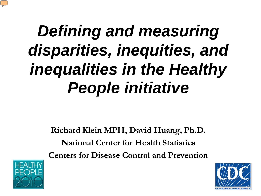# *Defining and measuring disparities, inequities, and inequalities in the Healthy People initiative*

**Richard Klein MPH, David Huang, Ph.D. National Center for Health Statistics Centers for Disease Control and Prevention**



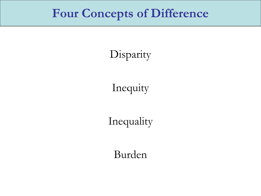### **Four Concepts of Difference**

Disparity

Inequity

Inequality

Burden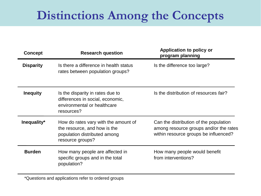## **Distinctions Among the Concepts**

| <b>Concept</b>   | <b>Research question</b>                                                                                                 | <b>Application to policy or</b><br>program planning                                                                       |
|------------------|--------------------------------------------------------------------------------------------------------------------------|---------------------------------------------------------------------------------------------------------------------------|
| <b>Disparity</b> | Is there a difference in health status<br>rates between population groups?                                               | Is the difference too large?                                                                                              |
| <b>Inequity</b>  | Is the disparity in rates due to<br>differences in social, economic,<br>environmental or healthcare<br>resources?        | Is the distribution of resources fair?                                                                                    |
| Inequality*      | How do rates vary with the amount of<br>the resource, and how is the<br>population distributed among<br>resource groups? | Can the distribution of the population<br>among resource groups and/or the rates<br>within resource groups be influenced? |
| <b>Burden</b>    | How many people are affected in<br>specific groups and in the total<br>population?                                       | How many people would benefit<br>from interventions?                                                                      |

\*Questions and applications refer to ordered groups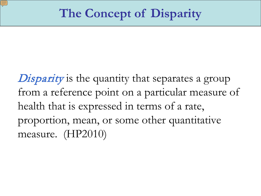**Disparity** is the quantity that separates a group from a reference point on a particular measure of health that is expressed in terms of a rate, proportion, mean, or some other quantitative measure. (HP2010)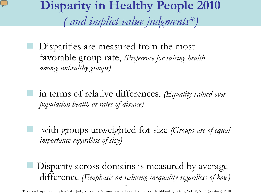**Disparity in Healthy People 2010**

*( and implict value judgments\*)*

 Disparities are measured from the most favorable group rate, *(Preference for raising health among unhealthy groups)*

 in terms of relative differences, *(Equality valued over population health or rates of disease)*

 with groups unweighted for size *(Groups are of equal importance regardless of size)*

 Disparity across domains is measured by average difference *(Emphasis on reducing inequality regardless of how)*

\* \*Based on Harper et al Implicit Value Judgments in the Measurement of Health Inequalities. The Milbank Quarterly, Vol. 88, No. 1 (pp. 4–29). 2010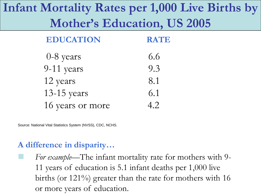## **Infant Mortality Rates per 1,000 Live Births by Mother's Education, US 2005**

| <b>EDUCATION</b> | <b>RATE</b> |
|------------------|-------------|
| $0-8$ years      | 6.6         |
| 9-11 years       | 9.3         |
| 12 years         | 8.1         |
| $13-15$ years    | 6.1         |
| 16 years or more | 4.2         |

Source: National Vital Statistics System (NVSS), CDC, NCHS.

#### **A difference in disparity…**

 *For example—*The infant mortality rate for mothers with 9- 11 years of education is 5.1 infant deaths per 1,000 live births (or 121%) greater than the rate for mothers with 16 or more years of education.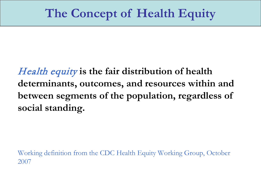Health equity **is the fair distribution of health determinants, outcomes, and resources within and between segments of the population, regardless of social standing.**

Working definition from the CDC Health Equity Working Group, October 2007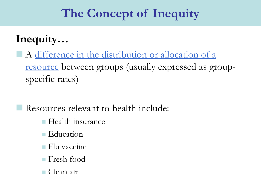## **The Concept of Inequity**

### **Inequity…**

 A difference in the distribution or allocation of a resource between groups (usually expressed as groupspecific rates)

Resources relevant to health include:

- **Health insurance**
- **Education**
- Flu vaccine
- Fresh food
- Clean air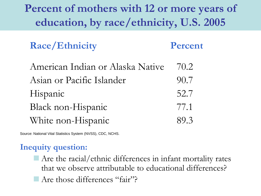### **Percent of mothers with 12 or more years of education, by race/ethnicity, U.S. 2005**

**Race/Ethnicity Percent**

| American Indian or Alaska Native | 70.2 |
|----------------------------------|------|
| Asian or Pacific Islander        | 90.7 |
| Hispanic                         | 52.7 |
| Black non-Hispanic               | 77.1 |
| White non-Hispanic               | 89.3 |

Source: National Vital Statistics System (NVSS), CDC, NCHS.

#### **Inequity question:**

- $\blacksquare$  Are the racial/ethnic differences in infant mortality rates that we observe attributable to educational differences?
- Are those differences "fair"?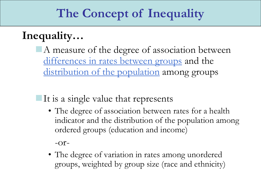### **The Concept of Inequality**

### **Inequality…**

A measure of the degree of association between differences in rates between groups and the distribution of the population among groups

### $\blacksquare$ It is a single value that represents

• The degree of association between rates for a health indicator and the distribution of the population among ordered groups (education and income)

 $-Or-$ 

• The degree of variation in rates among unordered groups, weighted by group size (race and ethnicity)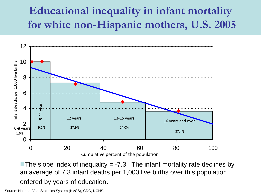### **Educational inequality in infant mortality for white non-Hispanic mothers, U.S. 2005**



The slope index of inequality  $= -7.3$ . The infant mortality rate declines by an average of 7.3 infant deaths per 1,000 live births over this population, ordered by years of education.

Source: National Vital Statistics System (NVSS), CDC, NCHS.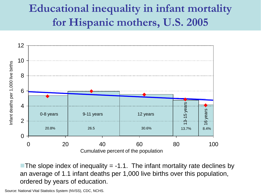### **Educational inequality in infant mortality for Hispanic mothers, U.S. 2005**



The slope index of inequality  $= -1.1$ . The infant mortality rate declines by an average of 1.1 infant deaths per 1,000 live births over this population, ordered by years of education.

Source: National Vital Statistics System (NVSS), CDC, NCHS.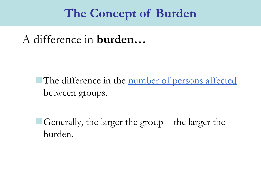### **The Concept of Burden**

A difference in **burden…**

The difference in the number of persons affected between groups.

Generally, the larger the group—the larger the burden.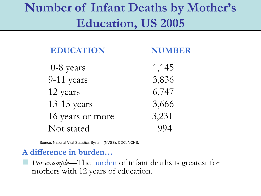## **Number of Infant Deaths by Mother's Education, US 2005**

| <b>EDUCATION</b> | <b>NUMBER</b> |
|------------------|---------------|
| $0-8$ years      | 1,145         |
| 9-11 years       | 3,836         |
| 12 years         | 6,747         |
| 13-15 years      | 3,666         |
| 16 years or more | 3,231         |
| Not stated       | $QQ\Delta$    |

Source: National Vital Statistics System (NVSS), CDC, NCHS.

#### **A difference in burden…**

 *For example—*The burden of infant deaths is greatest for mothers with 12 years of education.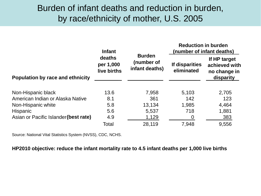#### Burden of infant deaths and reduction in burden, by race/ethnicity of mother, U.S. 2005

|                                       | <b>Infant</b><br>deaths<br>per 1,000<br>live births | <b>Burden</b><br>(number of<br>infant deaths) | <b>Reduction in burden</b><br>(number of infant deaths) |                                                            |
|---------------------------------------|-----------------------------------------------------|-----------------------------------------------|---------------------------------------------------------|------------------------------------------------------------|
|                                       |                                                     |                                               | If disparities<br>eliminated                            | If HP target<br>achieved with<br>no change in<br>disparity |
| Population by race and ethnicity      |                                                     |                                               |                                                         |                                                            |
| Non-Hispanic black                    | 13.6                                                | 7,958                                         | 5,103                                                   | 2,705                                                      |
| American Indian or Alaska Native      | 8.1                                                 | 361                                           | 142                                                     | 123                                                        |
| Non-Hispanic white                    | 5.8                                                 | 13,134                                        | 1,985                                                   | 4,464                                                      |
| Hispanic                              | 5.6                                                 | 5,537                                         | 718                                                     | 1,881                                                      |
| Asian or Pacific Islander (best rate) | 4.9                                                 | 1,129                                         | 0                                                       | 383                                                        |
|                                       | Total                                               | 28,119                                        | 7,948                                                   | 9,556                                                      |

Source: National Vital Statistics System (NVSS), CDC, NCHS.

#### **HP2010 objective: reduce the infant mortality rate to 4.5 infant deaths per 1,000 live births**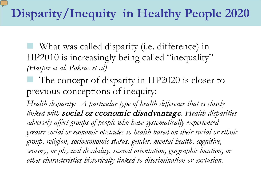What was called disparity (i.e. difference) in HP2010 is increasingly being called "inequality" *(Harper et al, Pokras et al)*

 The concept of disparity in HP2020 is closer to previous conceptions of inequity:

*Health disparity: A particular type of health difference that is closely linked with* social or economic disadvantage*. Health disparities adversely affect groups of people who have systematically experienced greater social or economic obstacles to health based on their racial or ethnic group, religion, socioeconomic status, gender, mental health, cognitive, sensory, or physical disability, sexual orientation, geographic location, or other characteristics historically linked to discrimination or exclusion.*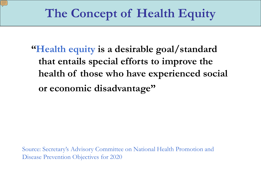**"Health equity is a desirable goal/standard that entails special efforts to improve the health of those who have experienced social or economic disadvantage"**

Source: Secretary's Advisory Committee on National Health Promotion and Disease Prevention Objectives for 2020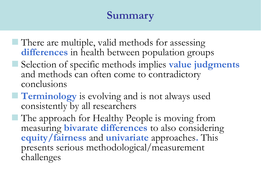### **Summary**

- There are multiple, valid methods for assessing **differences** in health between population groups
- Selection of specific methods implies **value judgments**  and methods can often come to contradictory conclusions
- **Terminology** is evolving and is not always used consistently by all researchers
	- The approach for Healthy People is moving from measuring **bivarate differences** to also considering **equity/fairness** and **univariate** approaches**.** This presents serious methodological/measurement challenges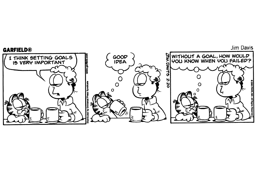